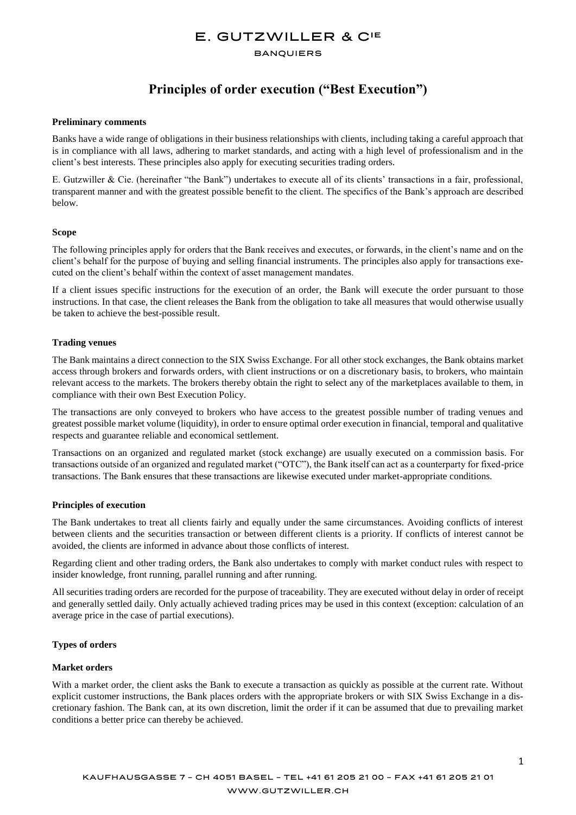## E. GUTZWILLER & CIE

#### **BANQUIERS**

## **Principles of order execution ("Best Execution")**

#### **Preliminary comments**

Banks have a wide range of obligations in their business relationships with clients, including taking a careful approach that is in compliance with all laws, adhering to market standards, and acting with a high level of professionalism and in the client's best interests. These principles also apply for executing securities trading orders.

E. Gutzwiller & Cie. (hereinafter "the Bank") undertakes to execute all of its clients' transactions in a fair, professional, transparent manner and with the greatest possible benefit to the client. The specifics of the Bank's approach are described below.

#### **Scope**

The following principles apply for orders that the Bank receives and executes, or forwards, in the client's name and on the client's behalf for the purpose of buying and selling financial instruments. The principles also apply for transactions executed on the client's behalf within the context of asset management mandates.

If a client issues specific instructions for the execution of an order, the Bank will execute the order pursuant to those instructions. In that case, the client releases the Bank from the obligation to take all measures that would otherwise usually be taken to achieve the best-possible result.

#### **Trading venues**

The Bank maintains a direct connection to the SIX Swiss Exchange. For all other stock exchanges, the Bank obtains market access through brokers and forwards orders, with client instructions or on a discretionary basis, to brokers, who maintain relevant access to the markets. The brokers thereby obtain the right to select any of the marketplaces available to them, in compliance with their own Best Execution Policy.

The transactions are only conveyed to brokers who have access to the greatest possible number of trading venues and greatest possible market volume (liquidity), in order to ensure optimal order execution in financial, temporal and qualitative respects and guarantee reliable and economical settlement.

Transactions on an organized and regulated market (stock exchange) are usually executed on a commission basis. For transactions outside of an organized and regulated market ("OTC"), the Bank itself can act as a counterparty for fixed-price transactions. The Bank ensures that these transactions are likewise executed under market-appropriate conditions.

## **Principles of execution**

The Bank undertakes to treat all clients fairly and equally under the same circumstances. Avoiding conflicts of interest between clients and the securities transaction or between different clients is a priority. If conflicts of interest cannot be avoided, the clients are informed in advance about those conflicts of interest.

Regarding client and other trading orders, the Bank also undertakes to comply with market conduct rules with respect to insider knowledge, front running, parallel running and after running.

All securities trading orders are recorded for the purpose of traceability. They are executed without delay in order of receipt and generally settled daily. Only actually achieved trading prices may be used in this context (exception: calculation of an average price in the case of partial executions).

## **Types of orders**

#### **Market orders**

With a market order, the client asks the Bank to execute a transaction as quickly as possible at the current rate. Without explicit customer instructions, the Bank places orders with the appropriate brokers or with SIX Swiss Exchange in a discretionary fashion. The Bank can, at its own discretion, limit the order if it can be assumed that due to prevailing market conditions a better price can thereby be achieved.